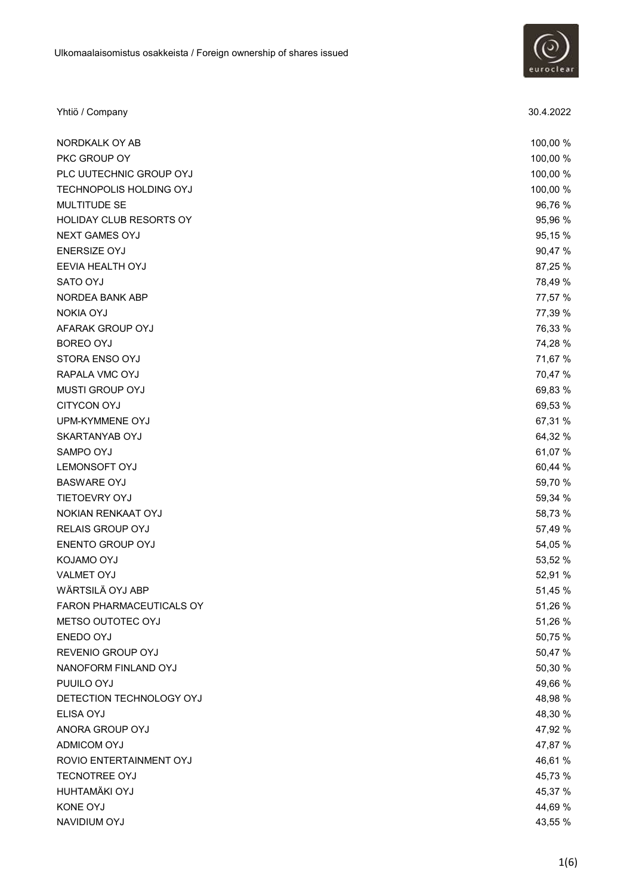

| Yhtiö / Company          | 30.4.2022 |
|--------------------------|-----------|
| NORDKALK OY AB           | 100,00 %  |
| PKC GROUP OY             | 100,00 %  |
| PLC UUTECHNIC GROUP OYJ  | 100,00 %  |
| TECHNOPOLIS HOLDING OYJ  | 100,00 %  |
| MULTITUDE SE             | 96,76 %   |
| HOLIDAY CLUB RESORTS OY  | 95,96 %   |
| <b>NEXT GAMES OYJ</b>    | 95,15%    |
| <b>ENERSIZE OYJ</b>      | 90,47 %   |
| EEVIA HEALTH OYJ         | 87,25 %   |
| SATO OYJ                 | 78,49 %   |
| NORDEA BANK ABP          | 77,57 %   |
| <b>NOKIA OYJ</b>         | 77,39 %   |
| AFARAK GROUP OYJ         | 76,33 %   |
| <b>BOREO OYJ</b>         | 74,28 %   |
| STORA ENSO OYJ           | 71,67 %   |
| RAPALA VMC OYJ           | 70,47 %   |
| <b>MUSTI GROUP OYJ</b>   | 69,83 %   |
| <b>CITYCON OYJ</b>       | 69,53 %   |
| UPM-KYMMENE OYJ          | 67,31 %   |
| SKARTANYAB OYJ           | 64,32 %   |
| SAMPO OYJ                | 61,07 %   |
| LEMONSOFT OYJ            | 60,44 %   |
| <b>BASWARE OYJ</b>       | 59,70 %   |
| TIETOEVRY OYJ            | 59,34 %   |
| NOKIAN RENKAAT OYJ       | 58,73 %   |
| RELAIS GROUP OYJ         | 57,49 %   |
| <b>ENENTO GROUP OYJ</b>  | 54,05 %   |
| KOJAMO OYJ               | 53,52 %   |
| <b>VALMET OYJ</b>        | 52,91 %   |
| WÄRTSILÄ OYJ ABP         | 51,45 %   |
| FARON PHARMACEUTICALS OY | 51,26 %   |
| METSO OUTOTEC OYJ        | 51,26 %   |
| ENEDO OYJ                | 50,75 %   |
| REVENIO GROUP OYJ        | 50,47 %   |
| NANOFORM FINLAND OYJ     | 50,30 %   |
| PUUILO OYJ               | 49,66 %   |
| DETECTION TECHNOLOGY OYJ | 48,98 %   |
| ELISA OYJ                | 48,30 %   |
| ANORA GROUP OYJ          | 47,92 %   |
| ADMICOM OYJ              | 47,87 %   |
| ROVIO ENTERTAINMENT OYJ  | 46,61 %   |
| <b>TECNOTREE OYJ</b>     | 45,73 %   |
| HUHTAMÄKI OYJ            | 45,37 %   |
| <b>KONE OYJ</b>          | 44,69 %   |
| NAVIDIUM OYJ             | 43,55 %   |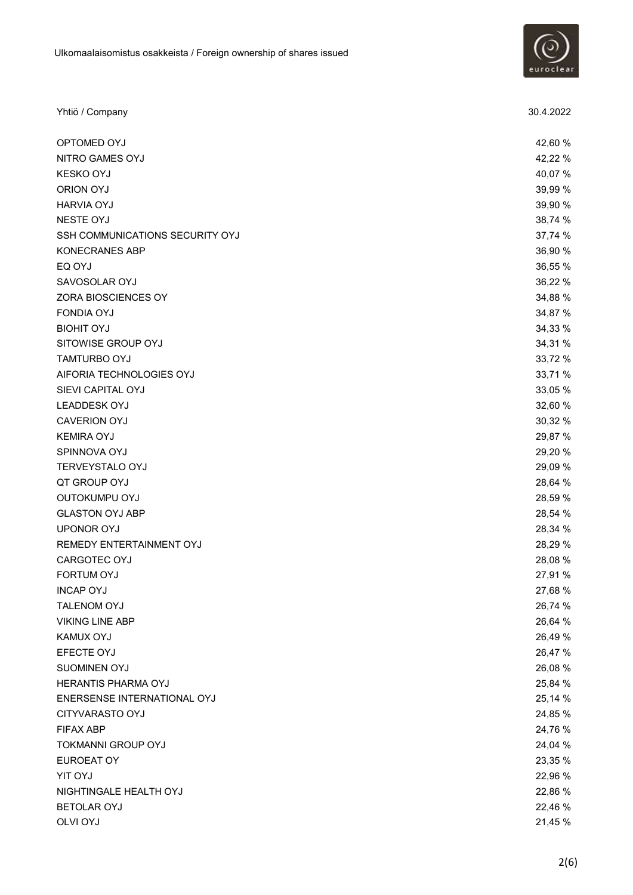

| Yhtiö / Company                        | 30.4.2022 |
|----------------------------------------|-----------|
| OPTOMED OYJ                            | 42,60 %   |
| NITRO GAMES OYJ                        | 42,22 %   |
| <b>KESKO OYJ</b>                       | 40,07%    |
| ORION OYJ                              | 39,99 %   |
| <b>HARVIA OYJ</b>                      | 39,90 %   |
| <b>NESTE OYJ</b>                       | 38,74 %   |
| <b>SSH COMMUNICATIONS SECURITY OYJ</b> | 37,74 %   |
| KONECRANES ABP                         | 36,90 %   |
| EQ OYJ                                 | 36,55 %   |
| SAVOSOLAR OYJ                          | 36,22 %   |
| ZORA BIOSCIENCES OY                    | 34,88 %   |
| <b>FONDIA OYJ</b>                      | 34,87 %   |
| <b>BIOHIT OYJ</b>                      | 34,33 %   |
| SITOWISE GROUP OYJ                     | 34,31 %   |
| <b>TAMTURBO OYJ</b>                    | 33,72 %   |
| AIFORIA TECHNOLOGIES OYJ               | 33,71 %   |
| SIEVI CAPITAL OYJ                      | 33,05 %   |
| <b>LEADDESK OYJ</b>                    | 32,60 %   |
| <b>CAVERION OYJ</b>                    | 30,32 %   |
| <b>KEMIRA OYJ</b>                      | 29,87 %   |
| SPINNOVA OYJ                           | 29,20 %   |
| TERVEYSTALO OYJ                        | 29,09 %   |
| QT GROUP OYJ                           | 28,64 %   |
| OUTOKUMPU OYJ                          | 28,59 %   |
| <b>GLASTON OYJ ABP</b>                 | 28,54 %   |
| <b>UPONOR OYJ</b>                      | 28,34 %   |
| REMEDY ENTERTAINMENT OYJ               | 28,29 %   |
| CARGOTEC OYJ                           | 28,08 %   |
| FORTUM OYJ                             | 27,91 %   |
| <b>INCAP OYJ</b>                       | 27,68 %   |
| TALENOM OYJ                            | 26,74 %   |
| <b>VIKING LINE ABP</b>                 | 26,64 %   |
| KAMUX OYJ                              | 26,49 %   |
| EFECTE OYJ                             | 26,47 %   |
| SUOMINEN OYJ                           | 26,08 %   |
| HERANTIS PHARMA OYJ                    | 25,84 %   |
| ENERSENSE INTERNATIONAL OYJ            | 25,14 %   |
| CITYVARASTO OYJ                        | 24,85 %   |
| <b>FIFAX ABP</b>                       | 24,76 %   |
| <b>TOKMANNI GROUP OYJ</b>              | 24,04 %   |
| EUROEAT OY                             | 23,35 %   |
| <b>YIT OYJ</b>                         | 22,96 %   |
| NIGHTINGALE HEALTH OYJ                 | 22,86 %   |
| <b>BETOLAR OYJ</b>                     | 22,46 %   |
| <b>OLVI OYJ</b>                        | 21,45 %   |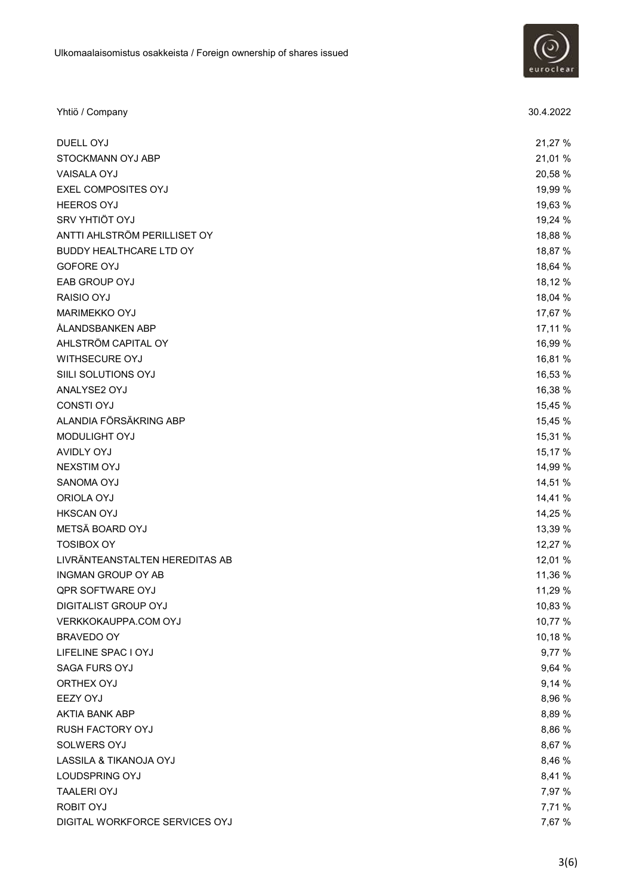

| Yhtiö / Company                | 30.4.2022 |
|--------------------------------|-----------|
| DUELL OYJ                      | 21,27 %   |
| STOCKMANN OYJ ABP              | 21,01 %   |
| <b>VAISALA OYJ</b>             | 20,58 %   |
| EXEL COMPOSITES OYJ            | 19,99 %   |
| <b>HEEROS OYJ</b>              | 19,63 %   |
| SRV YHTIÖT OYJ                 | 19,24 %   |
| ANTTI AHLSTRÖM PERILLISET OY   | 18,88 %   |
| BUDDY HEALTHCARE LTD OY        | 18,87 %   |
| <b>GOFORE OYJ</b>              | 18,64 %   |
| EAB GROUP OYJ                  | 18,12 %   |
| RAISIO OYJ                     | 18,04 %   |
| <b>MARIMEKKO OYJ</b>           | 17,67 %   |
| ÅLANDSBANKEN ABP               | 17,11 %   |
| AHLSTRÖM CAPITAL OY            | 16,99 %   |
| WITHSECURE OYJ                 | 16,81 %   |
| SIILI SOLUTIONS OYJ            | 16,53 %   |
| ANALYSE2 OYJ                   | 16,38 %   |
| <b>CONSTI OYJ</b>              | 15,45 %   |
| ALANDIA FÖRSÄKRING ABP         | 15,45 %   |
| MODULIGHT OYJ                  | 15,31 %   |
| <b>AVIDLY OYJ</b>              | 15,17 %   |
| <b>NEXSTIM OYJ</b>             | 14,99 %   |
| SANOMA OYJ                     | 14,51 %   |
| ORIOLA OYJ                     | 14,41 %   |
| <b>HKSCAN OYJ</b>              | 14,25 %   |
| METSÄ BOARD OYJ                | 13,39 %   |
| <b>TOSIBOX OY</b>              | 12,27 %   |
| LIVRÄNTEANSTALTEN HEREDITAS AB | 12,01 %   |
| <b>INGMAN GROUP OY AB</b>      | 11,36 %   |
| QPR SOFTWARE OYJ               | 11,29 %   |
| DIGITALIST GROUP OYJ           | 10,83 %   |
| VERKKOKAUPPA.COM OYJ           | 10,77 %   |
| BRAVEDO OY                     | 10,18 %   |
| LIFELINE SPAC I OYJ            | 9,77 %    |
| <b>SAGA FURS OYJ</b>           | 9,64 %    |
| ORTHEX OYJ                     | 9,14 %    |
| <b>EEZY OYJ</b>                | 8,96 %    |
| AKTIA BANK ABP                 | 8,89 %    |
| <b>RUSH FACTORY OYJ</b>        | 8,86 %    |
| SOLWERS OYJ                    | 8,67 %    |
| LASSILA & TIKANOJA OYJ         | 8,46 %    |
| LOUDSPRING OYJ                 | 8,41 %    |
| <b>TAALERI OYJ</b>             | 7,97 %    |
| <b>ROBIT OYJ</b>               | 7,71 %    |
| DIGITAL WORKFORCE SERVICES OYJ | 7,67 %    |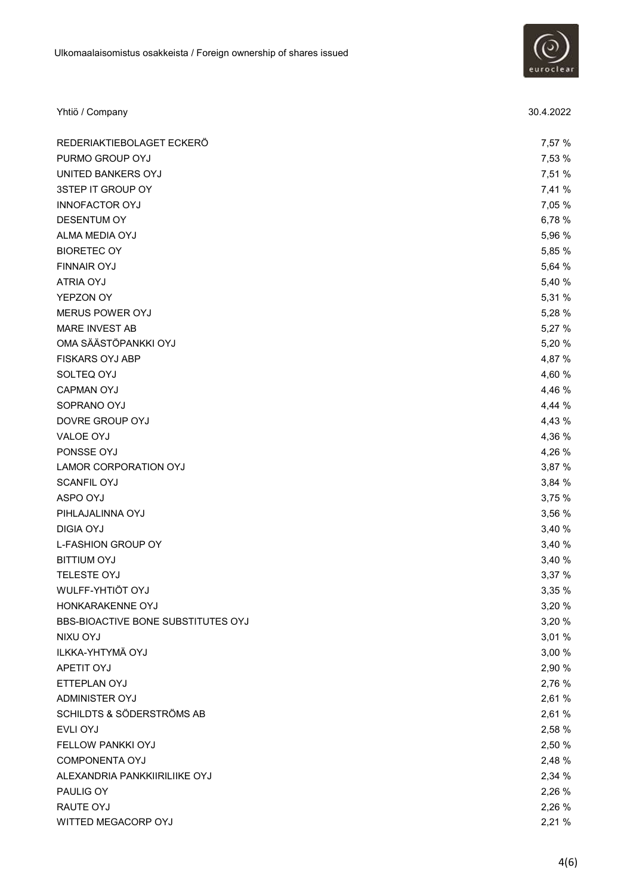

| Yhtiö / Company                    | 30.4.2022 |
|------------------------------------|-----------|
| REDERIAKTIEBOLAGET ECKERÖ          | 7,57 %    |
| PURMO GROUP OYJ                    | 7,53 %    |
| UNITED BANKERS OYJ                 | 7,51 %    |
| 3STEP IT GROUP OY                  | 7,41 %    |
| <b>INNOFACTOR OYJ</b>              | 7,05 %    |
| <b>DESENTUM OY</b>                 | 6,78 %    |
| ALMA MEDIA OYJ                     | 5,96 %    |
| <b>BIORETEC OY</b>                 | 5,85 %    |
| <b>FINNAIR OYJ</b>                 | 5,64 %    |
| <b>ATRIA OYJ</b>                   | 5,40 %    |
| YEPZON OY                          | 5,31 %    |
| MERUS POWER OYJ                    | 5,28 %    |
| MARE INVEST AB                     | 5,27 %    |
| OMA SÄÄSTÖPANKKI OYJ               | 5,20 %    |
| <b>FISKARS OYJ ABP</b>             | 4,87 %    |
| SOLTEQ OYJ                         | 4,60 %    |
| <b>CAPMAN OYJ</b>                  | 4,46 %    |
| SOPRANO OYJ                        | 4,44 %    |
| DOVRE GROUP OYJ                    | 4,43 %    |
| VALOE OYJ                          | 4,36 %    |
| PONSSE OYJ                         | 4,26 %    |
| LAMOR CORPORATION OYJ              | 3,87 %    |
| <b>SCANFIL OYJ</b>                 | 3,84 %    |
| ASPO OYJ                           | 3,75 %    |
| PIHLAJALINNA OYJ                   | 3,56 %    |
| <b>DIGIA OYJ</b>                   | 3,40 %    |
| <b>L-FASHION GROUP OY</b>          | 3,40 %    |
| <b>BITTIUM OYJ</b>                 | 3,40 %    |
| TELESTE OYJ                        | 3,37 %    |
| WULFF-YHTIÖT OYJ                   | 3,35 %    |
| HONKARAKENNE OYJ                   | 3,20 %    |
| BBS-BIOACTIVE BONE SUBSTITUTES OYJ | 3,20 %    |
| NIXU OYJ                           | 3,01 %    |
| ILKKA-YHTYMÄ OYJ                   | 3,00 %    |
| APETIT OYJ                         | 2,90 %    |
| ETTEPLAN OYJ                       | 2,76 %    |
| ADMINISTER OYJ                     | 2,61%     |
| SCHILDTS & SÖDERSTRÖMS AB          | 2,61%     |
| EVLI OYJ                           | 2,58 %    |
| FELLOW PANKKI OYJ                  | 2,50 %    |
| <b>COMPONENTA OYJ</b>              | 2,48 %    |
| ALEXANDRIA PANKKIIRILIIKE OYJ      | 2,34 %    |
| PAULIG OY                          | 2,26 %    |
| RAUTE OYJ                          | 2,26 %    |
| WITTED MEGACORP OYJ                | 2,21 %    |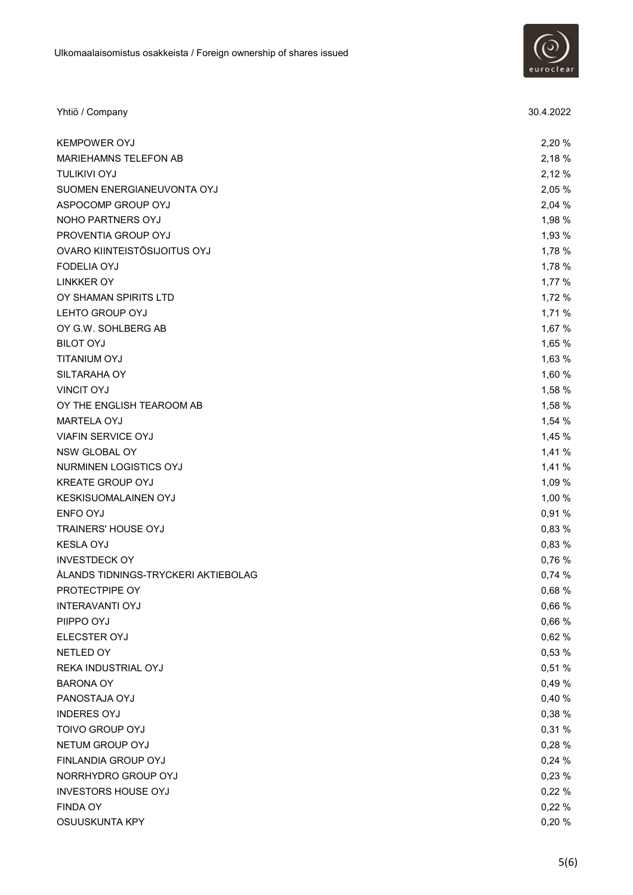

| Yhtiö / Company                     | 30.4.2022 |
|-------------------------------------|-----------|
| <b>KEMPOWER OYJ</b>                 | 2,20 %    |
| MARIEHAMNS TELEFON AB               | 2,18 %    |
| <b>TULIKIVI OYJ</b>                 | 2,12 %    |
| SUOMEN ENERGIANEUVONTA OYJ          | 2,05 %    |
| ASPOCOMP GROUP OYJ                  | 2,04 %    |
| NOHO PARTNERS OYJ                   | 1,98 %    |
| PROVENTIA GROUP OYJ                 | 1,93 %    |
| OVARO KIINTEISTÖSIJOITUS OYJ        | 1,78 %    |
| <b>FODELIA OYJ</b>                  | 1,78 %    |
| <b>LINKKER OY</b>                   | 1,77 %    |
| OY SHAMAN SPIRITS LTD               | 1,72 %    |
| LEHTO GROUP OYJ                     | 1,71 %    |
| OY G.W. SOHLBERG AB                 | 1,67 %    |
| <b>BILOT OYJ</b>                    | 1,65 %    |
| TITANIUM OYJ                        | 1,63 %    |
| SILTARAHA OY                        | 1,60 %    |
| <b>VINCIT OYJ</b>                   | 1,58 %    |
| OY THE ENGLISH TEAROOM AB           | 1,58 %    |
| MARTELA OYJ                         | 1,54 %    |
| <b>VIAFIN SERVICE OYJ</b>           | 1,45 %    |
| NSW GLOBAL OY                       | 1,41 %    |
| NURMINEN LOGISTICS OYJ              | 1,41 %    |
| <b>KREATE GROUP OYJ</b>             | 1,09 %    |
| KESKISUOMALAINEN OYJ                | 1,00 %    |
| ENFO OYJ                            | 0,91%     |
| <b>TRAINERS' HOUSE OYJ</b>          | 0,83 %    |
| <b>KESLA OYJ</b>                    | 0,83 %    |
| <b>INVESTDECK OY</b>                | 0,76 %    |
| ÅLANDS TIDNINGS-TRYCKERI AKTIEBOLAG | 0,74 %    |
| PROTECTPIPE OY                      | 0,68 %    |
| <b>INTERAVANTI OYJ</b>              | 0,66 %    |
| PIIPPO OYJ                          | 0,66 %    |
| ELECSTER OYJ                        | 0,62 %    |
| NETLED OY                           | 0,53 %    |
| REKA INDUSTRIAL OYJ                 | 0,51 %    |
| <b>BARONA OY</b>                    | 0,49 %    |
| PANOSTAJA OYJ                       | 0,40 %    |
| <b>INDERES OYJ</b>                  | 0,38 %    |
| TOIVO GROUP OYJ                     | 0,31 %    |
| NETUM GROUP OYJ                     | 0,28 %    |
| FINLANDIA GROUP OYJ                 | 0,24 %    |
| NORRHYDRO GROUP OYJ                 | 0,23 %    |
| <b>INVESTORS HOUSE OYJ</b>          | 0,22 %    |
| <b>FINDA OY</b>                     | 0,22 %    |
| OSUUSKUNTA KPY                      | 0,20 %    |